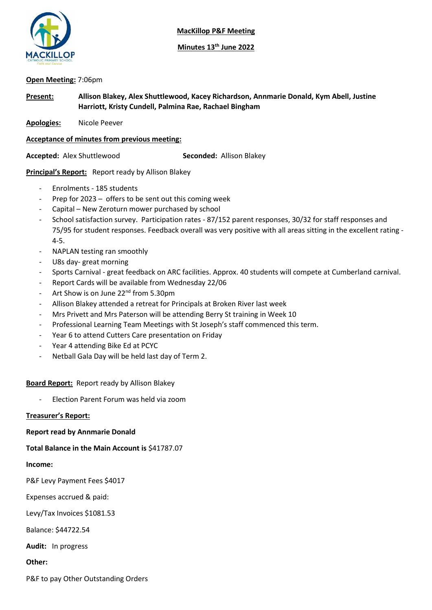

**MacKillop P&F Meeting**

**Minutes 13th June 2022**

# **Open Meeting:** 7:06pm

**Present: Allison Blakey, Alex Shuttlewood, Kacey Richardson, Annmarie Donald, Kym Abell, Justine Harriott, Kristy Cundell, Palmina Rae, Rachael Bingham**

**Apologies:** Nicole Peever

**Acceptance of minutes from previous meeting:**

**Accepted:** Alex Shuttlewood **Seconded:** Allison Blakey

# **Principal's Report:** Report ready by Allison Blakey

- Enrolments 185 students
- Prep for 2023 offers to be sent out this coming week
- Capital New Zeroturn mower purchased by school
- School satisfaction survey. Participation rates 87/152 parent responses, 30/32 for staff responses and 75/95 for student responses. Feedback overall was very positive with all areas sitting in the excellent rating - 4-5.
- NAPLAN testing ran smoothly
- U8s day- great morning
- Sports Carnival great feedback on ARC facilities. Approx. 40 students will compete at Cumberland carnival.
- Report Cards will be available from Wednesday 22/06
- Art Show is on June 22<sup>nd</sup> from 5.30pm
- Allison Blakey attended a retreat for Principals at Broken River last week
- Mrs Privett and Mrs Paterson will be attending Berry St training in Week 10
- Professional Learning Team Meetings with St Joseph's staff commenced this term.
- Year 6 to attend Cutters Care presentation on Friday
- Year 4 attending Bike Ed at PCYC
- Netball Gala Day will be held last day of Term 2.

### **Board Report:** Report ready by Allison Blakey

- Election Parent Forum was held via zoom

### **Treasurer's Report:**

### **Report read by Annmarie Donald**

### **Total Balance in the Main Account is** \$41787.07

### **Income:**

P&F Levy Payment Fees \$4017

Expenses accrued & paid:

Levy/Tax Invoices \$1081.53

Balance: \$44722.54

**Audit:** In progress

**Other:**

P&F to pay Other Outstanding Orders